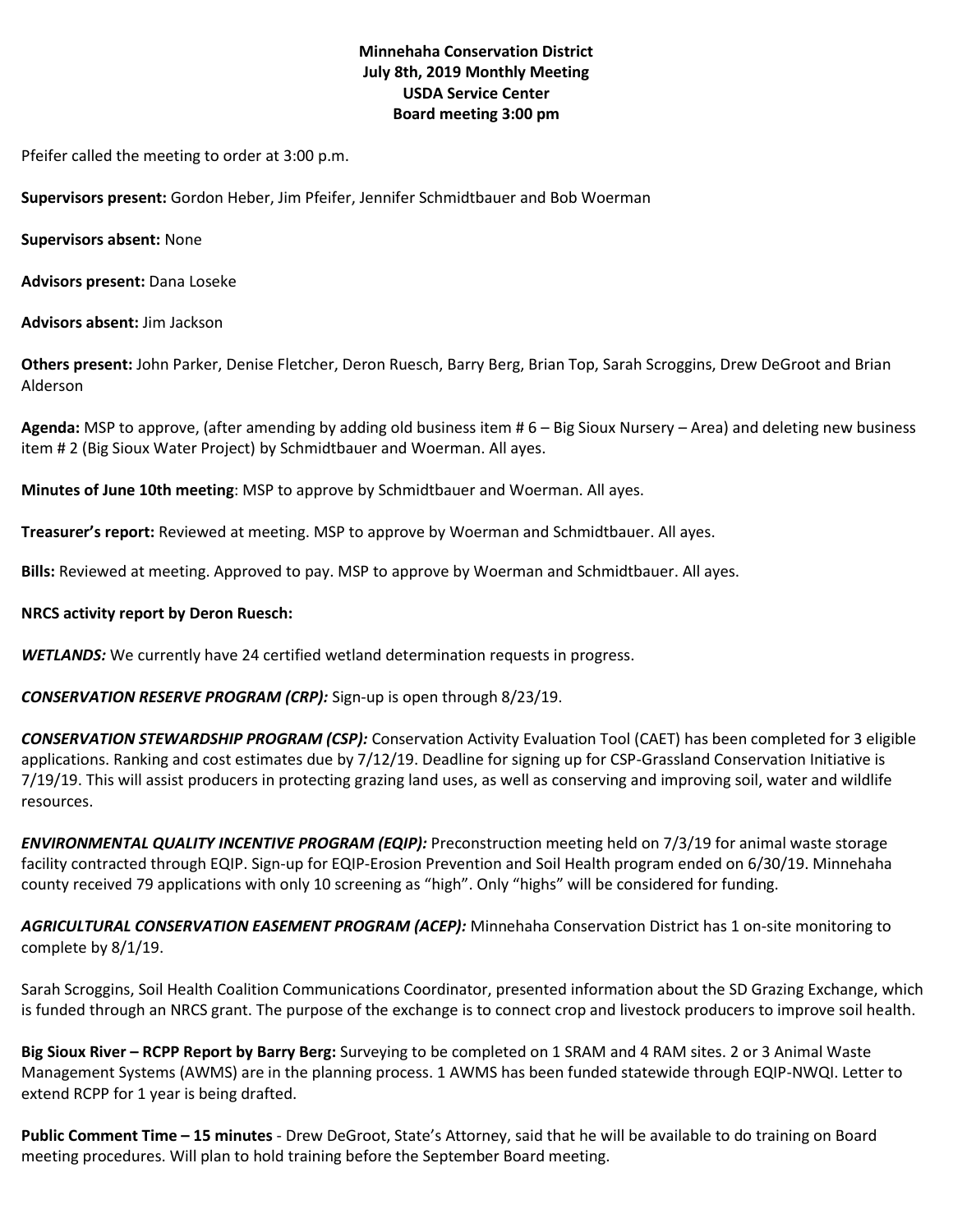## **Minnehaha Conservation District July 8th, 2019 Monthly Meeting USDA Service Center Board meeting 3:00 pm**

Pfeifer called the meeting to order at 3:00 p.m.

**Supervisors present:** Gordon Heber, Jim Pfeifer, Jennifer Schmidtbauer and Bob Woerman

**Supervisors absent:** None

**Advisors present:** Dana Loseke

**Advisors absent:** Jim Jackson

**Others present:** John Parker, Denise Fletcher, Deron Ruesch, Barry Berg, Brian Top, Sarah Scroggins, Drew DeGroot and Brian Alderson

**Agenda:** MSP to approve, (after amending by adding old business item # 6 – Big Sioux Nursery – Area) and deleting new business item # 2 (Big Sioux Water Project) by Schmidtbauer and Woerman. All ayes.

**Minutes of June 10th meeting**: MSP to approve by Schmidtbauer and Woerman. All ayes.

**Treasurer's report:** Reviewed at meeting. MSP to approve by Woerman and Schmidtbauer. All ayes.

**Bills:** Reviewed at meeting. Approved to pay. MSP to approve by Woerman and Schmidtbauer. All ayes.

#### **NRCS activity report by Deron Ruesch:**

*WETLANDS:* We currently have 24 certified wetland determination requests in progress.

*CONSERVATION RESERVE PROGRAM (CRP):* Sign-up is open through 8/23/19.

*CONSERVATION STEWARDSHIP PROGRAM (CSP):* Conservation Activity Evaluation Tool (CAET) has been completed for 3 eligible applications. Ranking and cost estimates due by 7/12/19. Deadline for signing up for CSP-Grassland Conservation Initiative is 7/19/19. This will assist producers in protecting grazing land uses, as well as conserving and improving soil, water and wildlife resources.

*ENVIRONMENTAL QUALITY INCENTIVE PROGRAM (EQIP):* Preconstruction meeting held on 7/3/19 for animal waste storage facility contracted through EQIP. Sign-up for EQIP-Erosion Prevention and Soil Health program ended on 6/30/19. Minnehaha county received 79 applications with only 10 screening as "high". Only "highs" will be considered for funding.

*AGRICULTURAL CONSERVATION EASEMENT PROGRAM (ACEP):* Minnehaha Conservation District has 1 on-site monitoring to complete by 8/1/19.

Sarah Scroggins, Soil Health Coalition Communications Coordinator, presented information about the SD Grazing Exchange, which is funded through an NRCS grant. The purpose of the exchange is to connect crop and livestock producers to improve soil health.

**Big Sioux River – RCPP Report by Barry Berg:** Surveying to be completed on 1 SRAM and 4 RAM sites. 2 or 3 Animal Waste Management Systems (AWMS) are in the planning process. 1 AWMS has been funded statewide through EQIP-NWQI. Letter to extend RCPP for 1 year is being drafted.

**Public Comment Time – 15 minutes** - Drew DeGroot, State's Attorney, said that he will be available to do training on Board meeting procedures. Will plan to hold training before the September Board meeting.